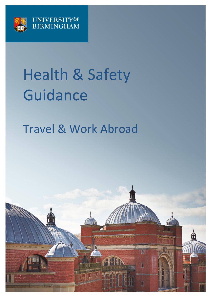

# Health & Safety Guidance

# Travel & Work Abroad

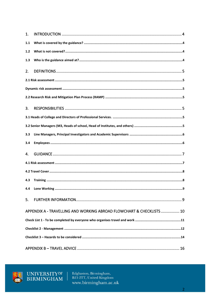| 1.  |                                                                      |  |  |  |  |
|-----|----------------------------------------------------------------------|--|--|--|--|
| 1.1 |                                                                      |  |  |  |  |
| 1.2 |                                                                      |  |  |  |  |
| 1.3 |                                                                      |  |  |  |  |
| 2.  |                                                                      |  |  |  |  |
|     |                                                                      |  |  |  |  |
|     |                                                                      |  |  |  |  |
|     |                                                                      |  |  |  |  |
| 3.  |                                                                      |  |  |  |  |
|     |                                                                      |  |  |  |  |
|     |                                                                      |  |  |  |  |
| 3.3 |                                                                      |  |  |  |  |
| 3.4 |                                                                      |  |  |  |  |
| 4.  |                                                                      |  |  |  |  |
|     |                                                                      |  |  |  |  |
|     |                                                                      |  |  |  |  |
| 4.3 |                                                                      |  |  |  |  |
| 4.4 |                                                                      |  |  |  |  |
| 5.  |                                                                      |  |  |  |  |
|     | APPENDIX A - TRAVELLING AND WORKING ABROAD FLOWCHART & CHECKLISTS 10 |  |  |  |  |
|     |                                                                      |  |  |  |  |
|     |                                                                      |  |  |  |  |
|     |                                                                      |  |  |  |  |
|     |                                                                      |  |  |  |  |



UNIVERSITY<sup>OF</sup><br>BIRMINGHAM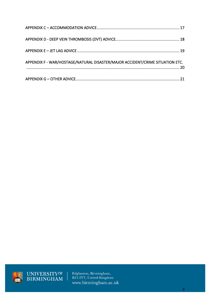| APPENDIX F - WAR/HOSTAGE/NATURAL DISASTER/MAJOR ACCIDENT/CRIME SITUATION ETC. |  |
|-------------------------------------------------------------------------------|--|
|                                                                               |  |



UNIVERSITY<sup>OF</sup><br>BIRMINGHAM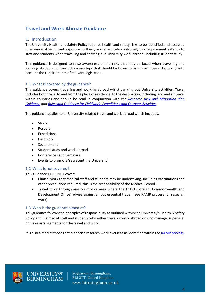# **Travel and Work Abroad Guidance**

#### <span id="page-3-0"></span>1. Introduction

The University Health and Safety Policy requires health and safety risks to be identified and assessed in advance of significant exposure to them, and effectively controlled, this requirement extends to staff and students when travelling and carrying out University work abroad, including student study.

This guidance is designed to raise awareness of the risks that may be faced when travelling and working abroad and gives advice on steps that should be taken to minimise those risks, taking into account the requirements of relevant legislation.

#### <span id="page-3-1"></span>1.1 What is covered by the guidance?

This guidance covers travelling and working abroad whilst carrying out University activities. Travel includes both travel to and from the place of residence, to the destination, including land and air travel within countries and should be read in conjunction with *the [Research Risk and Mitigation Plan](https://intranet.birmingham.ac.uk/hr/wellbeing/worksafe/policy/Research-Risk-Assessment-and-Mitigation-Plans-RAMPs.aspx)  [Guidance](https://intranet.birmingham.ac.uk/hr/wellbeing/worksafe/policy/Research-Risk-Assessment-and-Mitigation-Plans-RAMPs.aspx) and [Rules and Guidance for Fieldwork, Expeditions and Outdoor Activities](https://intranet.birmingham.ac.uk/hr/wellbeing/worksafe/topics/offcampus.aspx)*.

The guidance applies to all University related travel and work abroad which includes.

- Study
- Research
- Expeditions
- Fieldwork
- Secondment
- Student study and work abroad
- Conferences and Seminars
- Events to promote/represent the University

#### <span id="page-3-2"></span>1.2 What is not covered?

This guidance DOES NOT cover:

- Clinical work that medical staff and students may be undertaking, including vaccinations and other precautions required, this is the responsibility of the Medical School.
- Travel to or through any country or area where the FCDO (Foreign, Commonwealth and Development Office) advise against all but essential travel. (See [RAMP process](https://intranet.birmingham.ac.uk/hr/wellbeing/worksafe/policy/research-risk-assessment-and-mitigation-plans-ramps.aspx) for research work)

#### <span id="page-3-3"></span>1.3 Who is the guidance aimed at?

This guidance follows the principles of responsibility as outlined within the University's Health & Safety Policy and is aimed at staff and students who either travel or work abroad or who manage, supervise, or make arrangements for the travel and work.

It is also aimed at those that authorise research work overseas as identified within th[e RAMP process.](https://intranet.birmingham.ac.uk/hr/wellbeing/worksafe/policy/research-risk-assessment-and-mitigation-plans-ramps.aspx)

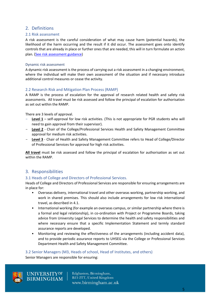#### <span id="page-4-0"></span>2. Definitions

#### <span id="page-4-1"></span>2.1 Risk assessment

A risk assessment is the careful consideration of what may cause harm (potential hazards), the likelihood of the harm occurring and the result if it did occur. The assessment goes onto identify controls that are already in place or further ones that are needed, this will in turn formulate an action plan. ([See risk assessment guidance\)](https://intranet.birmingham.ac.uk/hr/wellbeing/worksafe/topics/riskassessment.aspx)

#### <span id="page-4-2"></span>Dynamic risk assessment

A dynamic risk assessment is the process of carrying out a risk assessment in a changing environment, where the individual will make their own assessment of the situation and if necessary introduce additional control measures or cease the activity.

#### <span id="page-4-3"></span>2.2 Research Risk and Mitigation Plan Process (RAMP)

A RAMP is the process of escalation for the approval of research related health and safety risk assessments. All travel must be risk assessed and follow the principal of escalation for authorisation as set out within the RAMP.

There are 3 levels of approval.

- **Level 1** self-approval for low risk activities. (This is not appropriate for PGR students who will need to gain approval from their supervisor).
- **Level 2** Chair of the College/Professional Services Health and Safety Management Committee approval for medium risk activities.
- **Level 3** Chair of Health and Safety Management Committee refers to Head of College/Director of Professional Services for approval for high risk activities.

**All travel** must be risk assessed and follow the principal of escalation for authorisation as set out within the RAMP.

#### <span id="page-4-4"></span>3. Responsibilities

#### <span id="page-4-5"></span>3.1 Heads of College and Directors of Professional Services.

Heads of College and Directors of Professional Services are responsible for ensuring arrangements are in place for:

- Overseas delivery, international travel and other overseas working, partnership working, and work in shared premises. This should also include arrangements for low risk international travel, as described in 4.1.
- International working (for example an overseas campus, or similar partnership where there is a formal and legal relationship), in co-ordination with Project or Programme Boards, taking advice from University Legal Services to determine the health and safety responsibilities and where necessary ensure that a specific Implementation Statement and termly standard assurance reports are developed.
- Monitoring and reviewing the effectiveness of the arrangements (including accident data), and to provide periodic assurance reports to UHSEG via the College or Professional Services Department Health and Safety Management Committee.

#### <span id="page-4-6"></span>3.2 Senior Managers (M3, Heads of school, Head of Institutes, and others)

Senior Managers are responsible for ensuring:

UNIVERSITY<sup>OF</sup><br>BIRMINGHAM

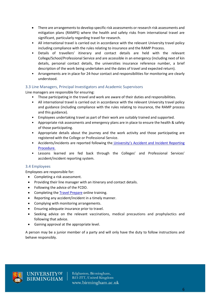- There are arrangements to develop specific risk assessments or research risk assessments and mitigation plans (RAMPS) where the health and safety risks from international travel are significant, particularly regarding travel for research.
- All international travel is carried out in accordance with the relevant University travel policy including compliance with the rules relating to insurance and the RAMP Process.
- Details of travellers' itinerary and contact details are held with the relevant College/School/Professional Service and are accessible in an emergency (including next of kin details, personal contact details, the universities insurance reference number, a brief description of the work being undertaken and the dates of travel and expected return).
- Arrangements are in place for 24-hour contact and responsibilities for monitoring are clearly understood.

#### <span id="page-5-0"></span>3.3 Line Managers, Principal Investigators and Academic Supervisors

Line managers are responsible for ensuring:

- Those participating in the travel and work are aware of their duties and responsibilities.
- All international travel is carried out in accordance with the relevant University travel policy and guidance (including compliance with the rules relating to insurance, the RAMP process and this guidance).
- Employees undertaking travel as part of their work are suitably trained and supported.
- Appropriate risk assessments and emergency plans are in place to ensure the health & safety of those participating.
- Appropriate details about the journey and the work activity and those participating are registered with the College or Professional Service.
- Accidents/incidents are reported following the University's A[ccident and Incident Reporting](https://intranet.birmingham.ac.uk/hr/wellbeing/worksafe/accidents/index.aspx)  [Procedure.](https://intranet.birmingham.ac.uk/hr/wellbeing/worksafe/accidents/index.aspx)
- Lessons learned are fed back through the Colleges' and Professional Services' accident/incident reporting system.

#### <span id="page-5-1"></span>3.4 Employees

Employees are responsible for:

- Completing a risk assessment.
- Providing their line manager with an itinerary and contact details.
- Following the advice of the FCDO.
- Completing th[e Travel Prepare](https://umal.co.uk/travel/pre-travel-advice/) online training.
- Reporting any accident/incident in a timely manner.
- Complying with monitoring arrangements.
- Ensuring adequate insurance prior to travel.
- Seeking advice on the relevant vaccinations, medical precautions and prophylactics and following that advice.
- Gaining approval at the appropriate level.

A person may be a junior member of a party and will only have the duty to follow instructions and behave responsibly.

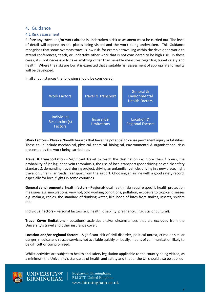#### <span id="page-6-0"></span>4. Guidance

#### <span id="page-6-1"></span>4.1 Risk assessment

Before any travel and/or work abroad is undertaken a risk assessment must be carried out. The level of detail will depend on the places being visited and the work being undertaken. This Guidance recognises that some overseas travel is low risk, for example travelling within the developed world to attend conferences, teach, or undertake other work that is not considered to be high risk. In these cases, it is not necessary to take anything other than sensible measures regarding travel safety and health. Where the risks are low, it is expected that a suitable risk assessment of appropriate formality will be developed.

In all circumstances the following should be considered:



**Work Factors** – Physical/health hazards that have the potential to cause permanent injury or fatalities. These could include mechanical, physical, chemical, biological, environmental & organisational risks presented by the work being carried out.

**Travel & transportation** - Significant travel to reach the destination i.e. more than 3 hours, the probability of jet lag, deep vein thrombosis, the use of local transport (poor driving or vehicle safety standards), demanding travel during project, driving an unfamiliar vehicle, driving in a new place, night travel on unfamiliar roads. Transport from the airport. Choosing an airline with a good safety record, especially for local flights in some countries.

**General /environmental health factors -** Regional/local health risks require specific health protection measures e.g. inoculations, very hot/cold working conditions, pollution, exposure to tropical diseases e.g. malaria, rabies, the standard of drinking water, likelihood of bites from snakes, insects, spiders etc.

**Individual factors -** Personal factors (e.g. health, disability, pregnancy, linguistic or cultural).

**Travel Cover limitations -** Locations, activities and/or circumstances that are excluded from the University's travel and other insurance cover.

**Location and/or regional factors -** Significant risk of civil disorder, political unrest, crime or similar danger, medical and rescue services not available quickly or locally, means of communication likely to be difficult or compromised.

Whilst activities are subject to health and safety legislation applicable to the country being visited, as a minimum the University's standards of health and safety and that of the UK should also be applied.



UNIVERSITY<sup>OF</sup><br>BIRMINGHAM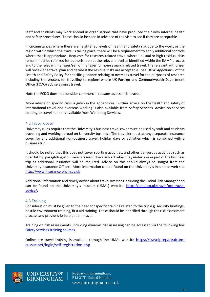Staff and students may work abroad in organisations that have produced their own internal health and safety procedures. These should be seen in advance of the visit to see if they are acceptable.

In circumstances where there are heightened levels of health and safety risk due to the work, or the region within which the travel is taking place, there will be a requirement to apply additional controls where that is appropriate. Requests for research-related travel where unusual or high residual risks remain must be referred for authorisation at the relevant level as identified within the RAMP process and to the relevant manager/senior manager for non-research related travel. The relevant authoriser will review the travel plan and decide if the residual risks are acceptable. See *UHSP Appendix R* of the Health and Safety Policy for specific guidance relating to overseas travel for the purposes of research including the process for travelling to regions where UK Foreign and Commonwealth Department Office (FCDO) advise against travel.

Note the FCDO does not consider commercial reasons as essential travel.

More advice on specific risks is given in the appendices. Further advice on the health and safety of international travel and overseas working is also available from Safety Services. Advice on services relating to travel health is available from Wellbeing Services.

#### <span id="page-7-0"></span>4.2 Travel Cover

University rules require that the University's business travel cover must be used by staff and students travelling and working abroad on University business. The traveller must arrange separate insurance cover for any additional non-business travel, holiday days or activities which is combined with a business trip.

It should be noted that this does not cover sporting activities, and other dangerous activities such as quad biking, paragliding etc. Travellers must check any activities they undertake as part of the business trip as additional insurance will be required. Advice on this should always be sought from the University Insurance Officer. More information can be found on the University's Insurance web site [http://www.insurance.bham.ac.uk](http://www.insurance.bham.ac.uk/)

Additional information and timely advice about travel overseas including the Global Risk Manager app can be found on the University's Insurers (UMAL) website: [https://umal.co.uk/travel/pre-travel](https://umal.co.uk/travel/pre-travel-advice/)[advice/.](https://umal.co.uk/travel/pre-travel-advice/)

#### <span id="page-7-1"></span>4.3 Training

Consideration must be given to the need for specific training related to the trip e.g. security briefings, hostile environment training, first aid training. These should be identified through the risk assessment process and provided before people travel.

Training on risk assessments, including dynamic risk assessing can be accessed via the following link [Safety Services training courses](https://intranet.birmingham.ac.uk/hr/wellbeing/worksafe/courses/index.aspx)

Online pre travel training is available through the UMAL website [https://travelprepare.drum](https://travelprepare.drum-cussac.net/login/self-registration.php)[cussac.net/login/self-registration.php](https://travelprepare.drum-cussac.net/login/self-registration.php)



UNIVERSITY<sup>OF</sup><br>BIRMINGHAM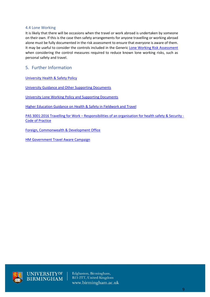#### <span id="page-8-0"></span>4.4 Lone Working

It is likely that there will be occasions when the travel or work abroad is undertaken by someone on their own. If this is the case then safety arrangements for anyone travelling or working abroad alone must be fully documented in the risk assessment to ensure that everyone is aware of them. It may be useful to consider the controls included in the Generic [Lone Working Risk Assessment](https://intranet.birmingham.ac.uk/hr/wellbeing/worksafe/documents/private/lone-working/generic-lone-working-risk-assessment.docx) when considering the control measures required to reduce known lone working risks, such as personal safety and travel.

#### <span id="page-8-1"></span>5. Further Information

[University Health & Safety Policy](https://intranet.birmingham.ac.uk/hr/documents/staff/hsu/uob-health-and-safety-policy-signed-27-1-2020-master.pdf)

[University Guidance and Other Supporting Documents](https://intranet.birmingham.ac.uk/hr/wellbeing/worksafe/policy/uhs-policy-%e2%80%93-appendices-and-other-supporting-materials.aspx)

[University Lone Working Policy and Supporting Documents](https://intranet.birmingham.ac.uk/hr/wellbeing/worksafe/lone-working/loneworking.aspx)

[Higher Education Guidance on Health & Safety in Fieldwork and Travel](https://www.usha.org.uk/images/stories/files/guidance-documents/MASTERUSHA_Safety-in-Fieldwork-Guide.pdf)

PAS 3001:2016 Travelling for Work – [Responsibilities of an organisation for health safety & Security -](https://bsol.bsigroup.com/Search/Search?searchKey=pas+3001&OriginPage=Header+Search+Box&autoSuggestion=false) [Code of Practice](https://bsol.bsigroup.com/Search/Search?searchKey=pas+3001&OriginPage=Header+Search+Box&autoSuggestion=false)

[Foreign, Commonwealth & Development Office](https://www.gov.uk/government/organisations/foreign-commonwealth-development-office)

[HM Government Travel Aware Campaign](https://travelaware.campaign.gov.uk/)



UNIVERSITY<sup>OF</sup><br>BIRMINGHAM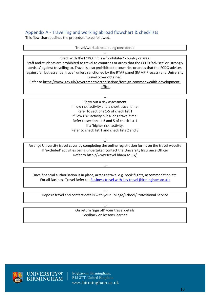### <span id="page-9-0"></span>Appendix A - Travelling and working abroad flowchart & checklists

This flow chart outlines the procedure to be followed.

| Travel/work abroad being considered                                                                                                                                                                                                                                                                                     |  |  |  |  |  |
|-------------------------------------------------------------------------------------------------------------------------------------------------------------------------------------------------------------------------------------------------------------------------------------------------------------------------|--|--|--|--|--|
|                                                                                                                                                                                                                                                                                                                         |  |  |  |  |  |
| Check with the FCDO if it is a 'prohibited' country or area.                                                                                                                                                                                                                                                            |  |  |  |  |  |
| Staff and students are prohibited to travel to countries or areas that the FCDO 'advises' or 'strongly<br>advises' against travelling to. Travel is also prohibited to countries or areas that the FCDO advises<br>against 'all but essential travel' unless sanctioned by the RTAP panel (RAMP Process) and University |  |  |  |  |  |
| travel cover obtained.                                                                                                                                                                                                                                                                                                  |  |  |  |  |  |
| Refer to https://www.gov.uk/government/organisations/foreign-commonwealth-development-                                                                                                                                                                                                                                  |  |  |  |  |  |
| office                                                                                                                                                                                                                                                                                                                  |  |  |  |  |  |
|                                                                                                                                                                                                                                                                                                                         |  |  |  |  |  |
|                                                                                                                                                                                                                                                                                                                         |  |  |  |  |  |
| Carry out a risk assessment                                                                                                                                                                                                                                                                                             |  |  |  |  |  |
| If 'low risk' activity and a short travel time:                                                                                                                                                                                                                                                                         |  |  |  |  |  |
| Refer to sections 1-5 of check list 1                                                                                                                                                                                                                                                                                   |  |  |  |  |  |

Refer to sections 1-5 of check list 1 If 'low risk' activity but a long travel time: Refer to sections 1-3 and 5 of check list 1 If a 'higher risk' activity: Refer to check list 1 and check lists 2 and 3

↓

Arrange University travel cover by completing the online registration forms on the travel website If 'excluded' activities being undertaken contact the University Insurance Officer Refer to<http://www.travel.bham.ac.uk/>

↓

Once financial authorisation is in place, arrange travel e.g. book flights, accommodation etc. For all Business Travel Refer to: [Business travel with key travel \(birmingham.ac.uk\)](https://intranet.birmingham.ac.uk/finance/procurement/environmental/key-travel.aspx)

↓ Deposit travel and contact details with your College/School/Professional Service

↓

On return 'sign off' your travel details Feedback on lessons learned



UNIVERSITY<sup>OF</sup><br>BIRMINGHAM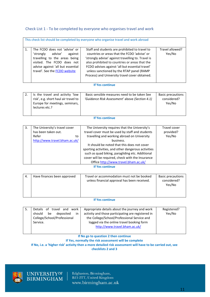#### <span id="page-10-0"></span>Check List 1 - To be completed by everyone who organises travel and work

|                | This check list should be completed by everyone who organise travel and work abroad                                                                                                                |                                                                                                                                                                                                                                                                                                                                                          |                           |  |  |  |  |
|----------------|----------------------------------------------------------------------------------------------------------------------------------------------------------------------------------------------------|----------------------------------------------------------------------------------------------------------------------------------------------------------------------------------------------------------------------------------------------------------------------------------------------------------------------------------------------------------|---------------------------|--|--|--|--|
| $\mathbf{1}$ . | The FCDO does not 'advise' or<br>'strongly advise'<br>against<br>travelling to the areas being<br>visited. The FCDO does not<br>advise against 'all but essential<br>travel'. See the FCDO website | Staff and students are prohibited to travel to<br>countries or areas that the FCDO 'advise' or<br>'strongly advise' against travelling to. Travel is<br>also prohibited to countries or areas that the<br>FCDO advises against 'all but essential travel'<br>unless sanctioned by the RTAP panel (RAMP<br>Process) and University travel cover obtained. | Travel allowed?<br>Yes/No |  |  |  |  |

#### **If Yes continue**

|  | Is the travel and activity 'low<br>risk', e.g. short haul air travel to<br>Europe for meetings, seminars,<br>lectures etc.? | Basic sensible measures need to be taken See<br>'Guidance Risk Assessment' above (Section 4.1) | <b>Basic precautions</b><br>considered?<br>Yes/No |
|--|-----------------------------------------------------------------------------------------------------------------------------|------------------------------------------------------------------------------------------------|---------------------------------------------------|
|  |                                                                                                                             |                                                                                                |                                                   |

#### **If Yes continue**

| 3. | The University's travel cover | The University requires that the University's       | Travel cover |
|----|-------------------------------|-----------------------------------------------------|--------------|
|    | has been taken out.           | travel cover must be used by staff and students     |              |
|    | Refer<br>to                   | travelling and working abroad on University         | Yes/No       |
|    | http://www.travel.bham.ac.uk/ | business.                                           |              |
|    |                               | It should be noted that this does not cover         |              |
|    |                               | sporting activities, and other dangerous activities |              |
|    |                               | such as quad biking, paragliding etc. Additional    |              |
|    |                               | cover will be required, check with the Insurance    |              |
|    |                               | Office http://www.travel.bham.ac.uk/                |              |

**If Yes continue**

| 4. | Have finances been approved | Travel or accommodation must not be booked<br>unless financial approval has been received. | <b>Basic precautions</b><br>considered?<br>Yes/No |
|----|-----------------------------|--------------------------------------------------------------------------------------------|---------------------------------------------------|
|----|-----------------------------|--------------------------------------------------------------------------------------------|---------------------------------------------------|

#### **If Yes continue**

| Yes/No<br>activity and those participating are registered in<br>deposited<br>be<br>should<br>in<br>College/School/Professional<br>the College/School/Professional Service and<br>logged via the online travel booking form<br>Service.<br>http://www.travel.bham.ac.uk/ | Details of travel and<br>work<br>-5. | Appropriate details about the journey and work | Registered? |
|-------------------------------------------------------------------------------------------------------------------------------------------------------------------------------------------------------------------------------------------------------------------------|--------------------------------------|------------------------------------------------|-------------|
|-------------------------------------------------------------------------------------------------------------------------------------------------------------------------------------------------------------------------------------------------------------------------|--------------------------------------|------------------------------------------------|-------------|

#### **If No go to question 2 then continue**

**If Yes, normally the risk assessment will be complete**

#### **If No, i.e. a 'higher risk' activity then a more detailed risk assessment will have to be carried out, see**

**checklists 2 and 3**



UNIVERSITY<sup>OF</sup><br>BIRMINGHAM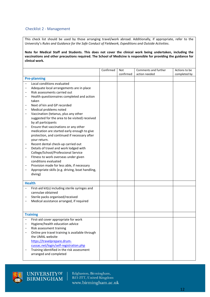#### <span id="page-11-0"></span>Checklist 2 - Management

This check list should be used by those arranging travel/work abroad. Additionally, if appropriate, refer to the University's *Rules and Guidance for the Safe Conduct of Fieldwork, Expeditions and Outside Activities.*

**Note for Medical Staff and Students. This does not cover the clinical work being undertaken, including the vaccinations and other precautions required. The School of Medicine is responsible for providing the guidance for clinical work.**

|                          |                                                                              | Confirmed | Not<br>confirmed | Comments and further<br>action needed | Actions to be<br>completed by |
|--------------------------|------------------------------------------------------------------------------|-----------|------------------|---------------------------------------|-------------------------------|
|                          | <b>Pre-planning</b>                                                          |           |                  |                                       |                               |
|                          | Local conditions evaluated<br>Adequate local arrangements are in place       |           |                  |                                       |                               |
|                          | Risk assessments carried out                                                 |           |                  |                                       |                               |
|                          | Health questionnaires completed and action                                   |           |                  |                                       |                               |
|                          | taken                                                                        |           |                  |                                       |                               |
|                          | Next of kin and GP recorded                                                  |           |                  |                                       |                               |
|                          | Medical problems noted                                                       |           |                  |                                       |                               |
|                          | Vaccination (tetanus, plus any other                                         |           |                  |                                       |                               |
|                          | suggested for the area to be visited) received<br>by all participants        |           |                  |                                       |                               |
|                          | Ensure that vaccinations or any other                                        |           |                  |                                       |                               |
|                          | medication are started early enough to give                                  |           |                  |                                       |                               |
|                          | protection, and continued if necessary after                                 |           |                  |                                       |                               |
|                          | your return.                                                                 |           |                  |                                       |                               |
| <sup>-</sup>             | Recent dental check-up carried out                                           |           |                  |                                       |                               |
| $\qquad \qquad -$        | Details of travel and work lodged with                                       |           |                  |                                       |                               |
|                          | College/School/Professional Service                                          |           |                  |                                       |                               |
| <sup>-</sup>             | Fitness to work overseas under given<br>conditions evaluated                 |           |                  |                                       |                               |
| $\overline{\phantom{0}}$ | Provision made for less able, if necessary                                   |           |                  |                                       |                               |
| $\overline{\phantom{0}}$ | Appropriate skills (e.g. driving, boat handling,                             |           |                  |                                       |                               |
|                          | diving)                                                                      |           |                  |                                       |                               |
|                          |                                                                              |           |                  |                                       |                               |
|                          | <b>Health</b>                                                                |           |                  |                                       |                               |
|                          | First-aid kit(s) including sterile syringes and                              |           |                  |                                       |                               |
|                          | cannulae obtained                                                            |           |                  |                                       |                               |
|                          | Sterile packs organised/received<br>Medical assistance arranged, if required |           |                  |                                       |                               |
|                          |                                                                              |           |                  |                                       |                               |
|                          |                                                                              |           |                  |                                       |                               |
|                          | <b>Training</b>                                                              |           |                  |                                       |                               |
|                          | First-aid cover appropriate for work                                         |           |                  |                                       |                               |
|                          | Hygiene/health education advice                                              |           |                  |                                       |                               |
|                          | Risk assessment training                                                     |           |                  |                                       |                               |
|                          | Online pre travel training is available through                              |           |                  |                                       |                               |
|                          | the UMAL website                                                             |           |                  |                                       |                               |
|                          | https://travelprepare.drum-<br>cussac.net/login/self-registration.php        |           |                  |                                       |                               |
|                          | Training identified in the risk assessment                                   |           |                  |                                       |                               |
|                          | arranged and completed                                                       |           |                  |                                       |                               |
|                          |                                                                              |           |                  |                                       |                               |



UNIVERSITY<sup>OF</sup><br>BIRMINGHAM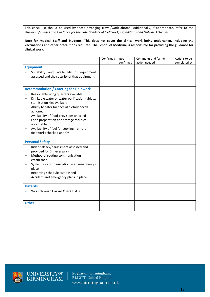This check list should be used by those arranging travel/work abroad. Additionally, if appropriate, refer to the University's *Rules and Guidance for the Safe Conduct of Fieldwork, Expeditions and Outside Activities.*

**Note for Medical Staff and Students. This does not cover the clinical work being undertaken, including the vaccinations and other precautions required. The School of Medicine is responsible for providing the guidance for clinical work.**

|                                                                     | Confirmed | <b>Not</b> | Comments and further | Actions to be |
|---------------------------------------------------------------------|-----------|------------|----------------------|---------------|
|                                                                     |           | confirmed  | action needed        | completed by  |
| <b>Equipment</b>                                                    |           |            |                      |               |
| Suitability and availability of equipment                           |           |            |                      |               |
| assessed and the security of that equipment                         |           |            |                      |               |
|                                                                     |           |            |                      |               |
| <b>Accommodation / Catering for Fieldwork</b>                       |           |            |                      |               |
| Reasonable living quarters available                                |           |            |                      |               |
| Drinkable water or water purification tablets/<br>$\qquad \qquad -$ |           |            |                      |               |
| sterilisation kits available                                        |           |            |                      |               |
| Ability to cater for special dietary needs<br>actioned.             |           |            |                      |               |
| Availability of food provisions checked                             |           |            |                      |               |
| Food preparation and storage facilities                             |           |            |                      |               |
| acceptable                                                          |           |            |                      |               |
| Availability of fuel for cooking (remote                            |           |            |                      |               |
| fieldwork) checked and OK                                           |           |            |                      |               |
|                                                                     |           |            |                      |               |
| <b>Personal Safety</b>                                              |           |            |                      |               |
| Risk of attack/harassment assessed and                              |           |            |                      |               |
| provided for (if necessary)<br>Method of routine communication      |           |            |                      |               |
| established                                                         |           |            |                      |               |
| System for communication in an emergency in<br>$\qquad \qquad -$    |           |            |                      |               |
| place                                                               |           |            |                      |               |
| Reporting schedule established<br>$\qquad \qquad -$                 |           |            |                      |               |
| Accident and emergency plans in place                               |           |            |                      |               |
| <b>Hazards</b>                                                      |           |            |                      |               |
|                                                                     |           |            |                      |               |
| Work through Hazard Check List 3                                    |           |            |                      |               |
|                                                                     |           |            |                      |               |
| <b>Other</b>                                                        |           |            |                      |               |
|                                                                     |           |            |                      |               |



UNIVERSITY@F<br>BIRMINGHAM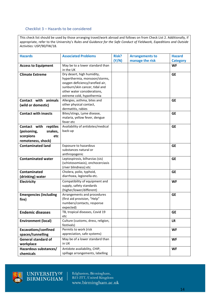#### <span id="page-13-0"></span>Checklist 3 – Hazards to be considered

This check list should be used by those arranging travel/work abroad and follows on from Check List 2. Additionally, if appropriate, refer to the University's *Rules and Guidance for the Safe Conduct of Fieldwork, Expeditions and Outside Activities:* USP/90/FW/18.

| <b>Hazards</b>                | <b>Associated Problems</b>         | Risk? | <b>Arrangements to</b> | <b>Hazard</b>   |
|-------------------------------|------------------------------------|-------|------------------------|-----------------|
|                               |                                    | (Y/N) | manage the risk        | <b>Category</b> |
| <b>Access to Equipment</b>    | May be to a lower standard than    |       |                        | <b>WF</b>       |
|                               | in the UK                          |       |                        |                 |
| <b>Climate Extreme</b>        | Dry desert, high humidity,         |       |                        | <b>GE</b>       |
|                               | hyperthermia, monsoon/storms,      |       |                        |                 |
|                               | oxygen deficiency/rarefied air,    |       |                        |                 |
|                               | sunburn/skin cancer, tidal and     |       |                        |                 |
|                               | other water considerations,        |       |                        |                 |
|                               | extreme cold, hypothermia          |       |                        |                 |
| Contact with animals          | Allergies, asthma, bites and       |       |                        | <b>GE</b>       |
| (wild or domestic)            | other physical contact,            |       |                        |                 |
|                               | dermatitis, rabies                 |       |                        |                 |
| <b>Contact with insects</b>   | Bites/stings, Lyme disease,        |       |                        | <b>GE</b>       |
|                               | malaria, yellow fever, dengue      |       |                        |                 |
|                               | fever etc                          |       |                        |                 |
| Contact with<br>reptiles      | Availability of antidotes/medical  |       |                        | <b>GE</b>       |
| (poisoning,<br>snakes,        | back-up                            |       |                        |                 |
|                               |                                    |       |                        |                 |
| scorpions<br>etc              |                                    |       |                        |                 |
| remoteness, shock)            |                                    |       |                        |                 |
| <b>Contaminated land</b>      | Exposure to hazardous              |       |                        | <b>GE</b>       |
|                               | substances natural or              |       |                        |                 |
|                               | anthropogenic                      |       |                        |                 |
| <b>Contaminated water</b>     | Leptospirosis, bilharzias (sis)    |       |                        | <b>GE</b>       |
|                               | (schistosomiasis), onchocerciasis  |       |                        |                 |
|                               | (river blindness) etc              |       |                        |                 |
| Contaminated                  | Cholera, polio, typhoid,           |       |                        | <b>GE</b>       |
| (drinking) water              | diarrhoea, legionella etc.         |       |                        |                 |
| <b>Electricity</b>            | Compatibility of equipment and     |       |                        | <b>WF</b>       |
|                               | supply, safety standards           |       |                        |                 |
|                               | (higher/lower/different)           |       |                        |                 |
| <b>Emergencies (including</b> | Arrangements and procedures        |       |                        | <b>GE</b>       |
| fire)                         | (first aid provision, "Help"       |       |                        |                 |
|                               | numbers/contacts, response         |       |                        |                 |
|                               | expected)                          |       |                        |                 |
| <b>Endemic diseases</b>       | TB, tropical diseases, Covid 19    |       |                        | <b>GE</b>       |
|                               | etc                                |       |                        |                 |
| <b>Environment (local)</b>    | Culture (customs, dress, religion, |       |                        | <b>LR</b>       |
|                               | festivals)                         |       |                        |                 |
| <b>Excavations/confined</b>   | Permits to work (risk              |       |                        | <b>WF</b>       |
| spaces/tunnelling             | appreciation, safe systems)        |       |                        |                 |
| <b>General standard of</b>    | May be of a lower standard than    |       |                        | <b>WF</b>       |
| workplace                     | in UK                              |       |                        |                 |
| Hazardous substances/         | Antidote availability, CHIP,       |       |                        | <b>WF</b>       |
|                               | spillage arrangements, labelling   |       |                        |                 |
| chemicals                     |                                    |       |                        |                 |



UNIVERSITYOF<br>BIRMINGHAM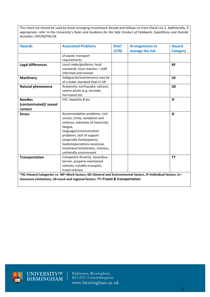This check list should be used by those arranging travel/work abroad and follows on from Check List 2. Additionally, if appropriate, refer to the University's *Rules and Guidance for the Safe Conduct of Fieldwork, Expeditions and Outside Activities:* USP/90/FW/18.

| <b>Hazards</b>           | <b>Associated Problems</b>                                                                                   | <b>Risk?</b> | <b>Arrangements to</b> | <b>Hazard</b>   |
|--------------------------|--------------------------------------------------------------------------------------------------------------|--------------|------------------------|-----------------|
|                          |                                                                                                              | (Y/N)        | manage the risk        | <b>Category</b> |
|                          | of waste, transport                                                                                          |              |                        |                 |
|                          | requirements                                                                                                 |              |                        |                 |
| <b>Legal differences</b> | Local codes/guidance, local                                                                                  |              |                        | <b>RF</b>       |
|                          | standards, local statutes - staff                                                                            |              |                        |                 |
|                          | informed and trained                                                                                         |              |                        |                 |
| <b>Machinery</b>         | Safeguards/maintenance may be                                                                                |              |                        | <b>LR</b>       |
|                          | of a lower standard than in UK                                                                               |              |                        |                 |
| Natural phenomena        | Avalanche, earthquake, volcano,                                                                              |              |                        | <b>GE</b>       |
|                          | severe winds (e.g. tornado,                                                                                  |              |                        |                 |
|                          | hurricane) etc                                                                                               |              |                        |                 |
| <b>Needles</b>           | HIV, Hepatitis B etc                                                                                         |              |                        | IF              |
| (contaminated)/ sexual   |                                                                                                              |              |                        |                 |
| contact                  |                                                                                                              |              |                        |                 |
| <b>Stress</b>            | Accommodation problems, civil                                                                                |              |                        | IF              |
|                          | unrest, crime, vandalism and                                                                                 |              |                        |                 |
|                          | violence, extremes of heat/cold,                                                                             |              |                        |                 |
|                          | fatigue,                                                                                                     |              |                        |                 |
|                          | language/communication                                                                                       |              |                        |                 |
|                          | problems, lack of support                                                                                    |              |                        |                 |
|                          | (especially family/peers),                                                                                   |              |                        |                 |
|                          | loads/expectations excessive,                                                                                |              |                        |                 |
|                          | loneliness/remoteness, sickness,                                                                             |              |                        |                 |
|                          | unfriendly environment                                                                                       |              |                        |                 |
| <b>Transportation</b>    | Competent driver(s), hazardous                                                                               |              |                        | <b>TT</b>       |
|                          | terrain, properly maintained                                                                                 |              |                        |                 |
|                          | vehicles, suitable transport,                                                                                |              |                        |                 |
|                          | travel sickness                                                                                              |              |                        |                 |
|                          | *HC=Hazard Categories i.e. WF=Work factors, GE=General and Environmental factors, IF=Individual factors, IL= |              |                        |                 |
|                          | Insurance Limitations, LR=Local and regional factors, TT=Travel & transportation                             |              |                        |                 |



UNIVERSITY@F<br>BIRMINGHAM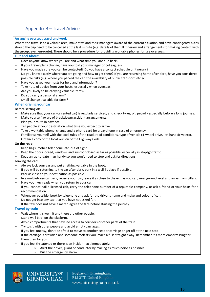# <span id="page-15-0"></span>Appendix B – Travel Advice

#### **Arranging overseas travel and work**

Where the travel is to a volatile area, make staff and their managers aware of the current situation and have contingency plans should the trip need to be cancelled at the last minute (e.g. details of the full itinerary and arrangements for making contact with the group, even en-route). There should be a procedure for providing workable phones for use overseas.

#### **Out and About**

- Does anyone know where you are and what time you are due back?
- If your travel plans change, have you told your manager or colleagues?
- Have you made sure you can be contacted? Do you have a contact schedule or itinerary?
- Do you know exactly where you are going and how to get there? If you are returning home after dark, have you considered possible risks (e.g. where you parked the car, the availability of public transport, etc.)?
- Have you asked your hosts for help and information?
- Take note of advice from your hosts, especially when overseas.
- Are you likely to be carrying valuable items?
- Do you carry a personal alarm?
- Small change available for fares?

#### **When driving your car**

#### **Before setting off:**

- Make sure that your car (or rented car) is regularly serviced, and check tyres, oil, petrol especially before a long journey.
- Make yourself aware of breakdown/accident arrangements.
- Plan your route in advance.
- Tell people at your destination what time you expect to arrive.
- Take a workable phone, change and a phone card for a payphone in case of emergency.
- Familiarise yourself with the local rules of the road, road conditions, type of vehicle (4-wheel drive, left hand drive etc).
- Obtain a copy of the local version of the Highway Code.

#### **On the road:**

- Keep bags, mobile telephone, etc. out of sight.
- Keep the doors locked, windows and sunroof closed as far as possible, especially in stop/go traffic.
- Keep an up-to-date map handy so you won't need to stop and ask for directions.

#### **Leaving the car:**

- Always lock your car and put anything valuable in the boot.
- If you will be returning to the car after dark, park in a well-lit place if possible.
- Park as close to your destination as possible.
- In a multi-storey car park, reverse your car, leave it as close to the exit as you can, near ground level and away from pillars.
- Have your key ready when you return to your car.
- If you cannot hail a licensed cab, carry the telephone number of a reputable company, or ask a friend or your hosts for a recommendation.
- Whenever possible, book by telephone and ask for the driver's name and make and colour of car.
- Do not get into any cab that you have not asked for.

If the taxi does not have a meter, agree the fare before starting the journey.

#### **Travel by train**

- Wait where it is well-lit and there are other people.
- Stand well back on the platform.
- Avoid compartments that have no access to corridors or other parts of the train.
- Try to sit with other people and avoid empty carriages.
- If you feel uneasy, don't be afraid to move to another seat or carriage or get off at the next stop.
- If the carriage is crowded and someone molests you, make a fuss straight away. Remember it's more embarrassing for them than for you.
- If you feel threatened or there is an incident, act immediately:
	- o Alert the driver, guard or conductor by making as much noise as possible.
	- o Pull the emergency alarm.

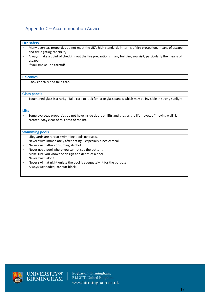# <span id="page-16-0"></span>Appendix C – Accommodation Advice

#### **Fire safety**

- Many overseas properties do not meet the UK's high standards in terms of fire protection, means of escape and fire-fighting capability.
- Always make a point of checking out the fire precautions in any building you visit, particularly the means of escape.
- If you smoke be careful!

#### **Balconies**

- Look critically and take care.

#### **Glass panels**

- Toughened glass is a rarity! Take care to look for large glass panels which may be invisible in strong sunlight.

#### **Lifts**

- Some overseas properties do not have inside doors on lifts and thus as the lift moves, a "moving wall" is created. Stay clear of this area of the lift.

#### **Swimming pools**

- Lifeguards are rare at swimming pools overseas.
- Never swim immediately after eating especially a heavy meal.
- Never swim after consuming alcohol.
- Never use a pool where you cannot see the bottom.
- Make sure you know the design and depth of a pool.
- Never swim alone.
- Never swim at night unless the pool is adequately lit for the purpose.
- Always wear adequate sun-block.

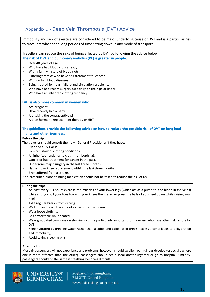# <span id="page-17-0"></span>Appendix D - Deep Vein Thrombosis (DVT) Advice

| Immobility and lack of exercise are considered to be major underlying cause of DVT and is a particular risk           |  |  |
|-----------------------------------------------------------------------------------------------------------------------|--|--|
| to travellers who spend long periods of time sitting down in any mode of transport.                                   |  |  |
|                                                                                                                       |  |  |
| Travellers can reduce the risks of being affected by DVT by following the advice below.                               |  |  |
| The risk of DVT and pulmonary embolus (PE) is greater in people:                                                      |  |  |
| Over 40 years of age.                                                                                                 |  |  |
| Who have had blood clots already                                                                                      |  |  |
| With a family history of blood clots.<br>$\overline{\phantom{m}}$                                                     |  |  |
| Suffering from or who have had treatment for cancer.<br>$\overline{\phantom{m}}$                                      |  |  |
| With certain blood diseases.<br>$\overline{\phantom{m}}$                                                              |  |  |
| Being treated for heart failure and circulation problems.<br>$\qquad \qquad -$                                        |  |  |
| Who have had recent surgery especially on the hips or knees<br>$\overline{\phantom{m}}$                               |  |  |
| Who have an inherited clotting tendency.<br>$\overline{\phantom{m}}$                                                  |  |  |
|                                                                                                                       |  |  |
| DVT is also more common in women who:                                                                                 |  |  |
| Are pregnant.                                                                                                         |  |  |
| Have recently had a baby.                                                                                             |  |  |
| Are taking the contraceptive pill.<br>Are on hormone replacement therapy or HRT.                                      |  |  |
|                                                                                                                       |  |  |
| The guidelines provide the following advice on how to reduce the possible risk of DVT on long haul                    |  |  |
| flights and other journeys.                                                                                           |  |  |
| <b>Before the trip</b>                                                                                                |  |  |
| The traveller should consult their own General Practitioner if they have:                                             |  |  |
| Ever had a DVT or PE.                                                                                                 |  |  |
| Family history of clotting conditions.                                                                                |  |  |
| An inherited tendency to clot (thrombophilia).                                                                        |  |  |
| Cancer or had treatment for cancer in the past.                                                                       |  |  |
| Undergone major surgery in the last three months.                                                                     |  |  |
| Had a hip or knee replacement within the last three months.                                                           |  |  |
| Ever suffered from a stroke.                                                                                          |  |  |
| Non-prescribed blood thinning medication should not be taken to reduce the risk of DVT.                               |  |  |
| During the trip:                                                                                                      |  |  |
| At least every 2-3 hours exercise the muscles of your lower legs (which act as a pump for the blood in the veins)     |  |  |
| while sitting - pull your toes towards your knees then relax, or press the balls of your feet down while raising your |  |  |
| heel                                                                                                                  |  |  |
| Take regular breaks from driving.                                                                                     |  |  |
| Walk up and down the aisle of a coach, train or plane.                                                                |  |  |
| Wear loose clothing.                                                                                                  |  |  |
| Be comfortable while seated.                                                                                          |  |  |
| Wear graduated compression stockings - this is particularly important for travellers who have other risk factors for  |  |  |
| DVT.                                                                                                                  |  |  |
| Keep hydrated by drinking water rather than alcohol and caffeinated drinks (excess alcohol leads to dehydration       |  |  |

- Keep hydrated by drinking water rather than alcohol and caffeinated drinks (excess alcohol leads to dehydration and immobility).
- Avoid taking sleeping pills.

UNIVERSITYOF<br>BIRMINGHAM

#### **After the trip**

Most air passengers will not experience any problems, however, should swollen, painful legs develop (especially where one is more affected than the other), passengers should see a local doctor urgently or go to hospital. Similarly, passengers should do the same if breathing becomes difficult.

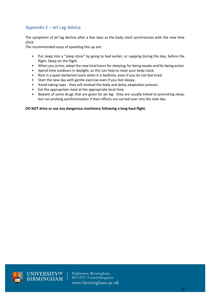# <span id="page-18-0"></span>Appendix E – Jet Lag Advice

The symptoms of jet lag decline after a few days as the body clock synchronises with the new time clock.

The recommended ways of speeding this up are:

- Put sleep into a "sleep store" by going to bed earlier, or napping during the day, before the flight. Sleep on the flight.
- When you arrive, adopt the new local hours for sleeping, for being awake and for being active.
- Spend time outdoors in daylight, as this can help to reset your body clock.
- Rest in a quiet darkened room when it is bedtime, even if you do not feel tired.
- Start the new day with gentle exercise even if you feel sleepy.<br>• Avoid taking naps they will mislead the body and delay adant
- Avoid taking naps they will mislead the body and delay adaptation process.
- Eat the appropriate meal at the appropriate local time.
- Beware of some drugs that are given for jet lag they are usually linked to promoting sleep, but can prolong synchronisation if their effects are carried over into the next day.

#### **DO NOT drive or use any dangerous machinery following a long-haul flight.**



UNIVERSITY<sup>OF</sup><br>BIRMINGHAM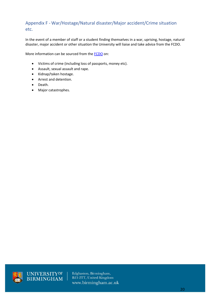# <span id="page-19-0"></span>Appendix F - War/Hostage/Natural disaster/Major accident/Crime situation etc.

In the event of a member of staff or a student finding themselves in a war, uprising, hostage, natural disaster, major accident or other situation the University will liaise and take advice from the FCDO.

More information can be sourced from the **FCDO** on:

- Victims of crime (including loss of passports, money etc).
- Assault, sexual assault and rape.
- Kidnap/taken hostage.
- Arrest and detention.
- Death.
- Major catastrophes.



UNIVERSITY<sup>OF</sup><br>BIRMINGHAM